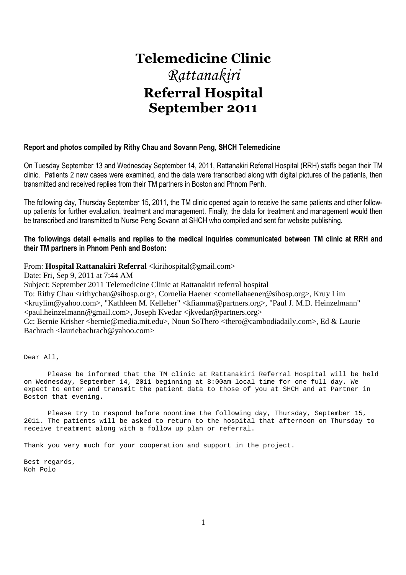# **Telemedicine Clinic**  *Rattanakiri*  **Referral Hospital September 2011**

## **Report and photos compiled by Rithy Chau and Sovann Peng, SHCH Telemedicine**

On Tuesday September 13 and Wednesday September 14, 2011, Rattanakiri Referral Hospital (RRH) staffs began their TM clinic. Patients 2 new cases were examined, and the data were transcribed along with digital pictures of the patients, then transmitted and received replies from their TM partners in Boston and Phnom Penh.

The following day, Thursday September 15, 2011, the TM clinic opened again to receive the same patients and other followup patients for further evaluation, treatment and management. Finally, the data for treatment and management would then be transcribed and transmitted to Nurse Peng Sovann at SHCH who compiled and sent for website publishing.

## **The followings detail e-mails and replies to the medical inquiries communicated between TM clinic at RRH and their TM partners in Phnom Penh and Boston:**

From: **Hospital Rattanakiri Referral** <kirihospital@gmail.com>

Date: Fri, Sep 9, 2011 at 7:44 AM

Subject: September 2011 Telemedicine Clinic at Rattanakiri referral hospital

To: Rithy Chau <rithychau@sihosp.org>, Cornelia Haener <corneliahaener@sihosp.org>, Kruy Lim <kruylim@yahoo.com>, "Kathleen M. Kelleher" <kfiamma@partners.org>, "Paul J. M.D. Heinzelmann" <paul.heinzelmann@gmail.com>, Joseph Kvedar <jkvedar@partners.org>

Cc: Bernie Krisher <br/> <br/>demedia.mit.edu>, Noun SoThero <thero@cambodiadaily.com>, Ed & Laurie Bachrach <lauriebachrach@yahoo.com>

Dear All,

 Please be informed that the TM clinic at Rattanakiri Referral Hospital will be held on Wednesday, September 14, 2011 beginning at 8:00am local time for one full day. We expect to enter and transmit the patient data to those of you at SHCH and at Partner in Boston that evening.

 Please try to respond before noontime the following day, Thursday, September 15, 2011. The patients will be asked to return to the hospital that afternoon on Thursday to receive treatment along with a follow up plan or referral.

Thank you very much for your cooperation and support in the project.

Best regards, Koh Polo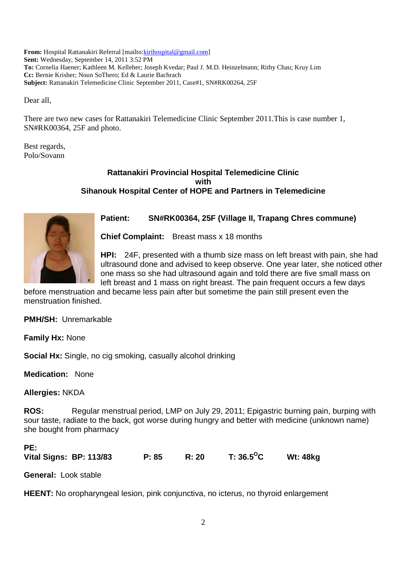**From:** Hospital Rattanakiri Referral [mailto:kirihospital@gmail.com] **Sent:** Wednesday, September 14, 2011 3:52 PM **To:** Cornelia Haener; Kathleen M. Kelleher; Joseph Kvedar; Paul J. M.D. Heinzelmann; Rithy Chau; Kruy Lim **Cc:** Bernie Krisher; Noun SoThero; Ed & Laurie Bachrach **Subject:** Rattanakiri Telemedicine Clinic September 2011, Case#1, SN#RK00264, 25F

Dear all,

There are two new cases for Rattanakiri Telemedicine Clinic September 2011.This is case number 1, SN#RK00364, 25F and photo.

Best regards, Polo/Sovann

## **Rattanakiri Provincial Hospital Telemedicine Clinic with Sihanouk Hospital Center of HOPE and Partners in Telemedicine**



## **Patient: SN#RK00364, 25F (Village II, Trapang Chres commune)**

**Chief Complaint:** Breast mass x 18 months

**HPI:** 24F, presented with a thumb size mass on left breast with pain, she had ultrasound done and advised to keep observe. One year later, she noticed other one mass so she had ultrasound again and told there are five small mass on left breast and 1 mass on right breast. The pain frequent occurs a few days

before menstruation and became less pain after but sometime the pain still present even the menstruation finished.

**PMH/SH:** Unremarkable

**Family Hx:** None

**Social Hx:** Single, no cig smoking, casually alcohol drinking

**Medication:** None

**Allergies:** NKDA

**ROS:** Regular menstrual period, LMP on July 29, 2011; Epigastric burning pain, burping with sour taste, radiate to the back, got worse during hungry and better with medicine (unknown name) she bought from pharmacy

## **PE:**

| Vital Signs: BP: 113/83 | P: 85 | R: 20 | T: 36.5 $^{\mathrm{o}}$ C | <b>Wt: 48kg</b> |
|-------------------------|-------|-------|---------------------------|-----------------|
|                         |       |       |                           |                 |

**General:** Look stable

**HEENT:** No oropharyngeal lesion, pink conjunctiva, no icterus, no thyroid enlargement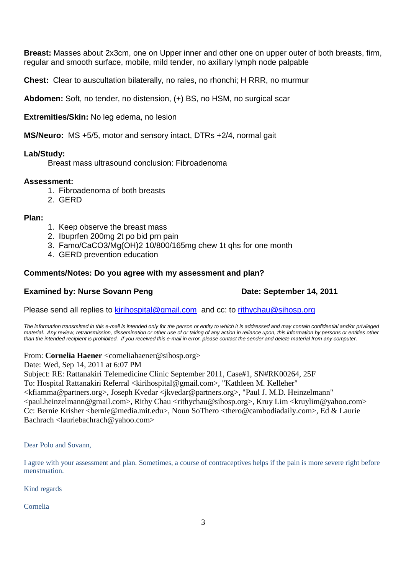**Breast:** Masses about 2x3cm, one on Upper inner and other one on upper outer of both breasts, firm, regular and smooth surface, mobile, mild tender, no axillary lymph node palpable

**Chest:** Clear to auscultation bilaterally, no rales, no rhonchi; H RRR, no murmur

**Abdomen:** Soft, no tender, no distension, (+) BS, no HSM, no surgical scar

**Extremities/Skin:** No leg edema, no lesion

**MS/Neuro:** MS +5/5, motor and sensory intact, DTRs +2/4, normal gait

## **Lab/Study:**

Breast mass ultrasound conclusion: Fibroadenoma

## **Assessment:**

- 1. Fibroadenoma of both breasts
- 2. GERD

## **Plan:**

- 1. Keep observe the breast mass
- 2. Ibuprfen 200mg 2t po bid prn pain
- 3. Famo/CaCO3/Mg(OH)2 10/800/165mg chew 1t qhs for one month
- 4. GERD prevention education

## **Comments/Notes: Do you agree with my assessment and plan?**

## **Examined by: Nurse Sovann Peng Date: September 14, 2011**

Please send all replies to kirihospital@gmail.com and cc: to rithychau@sihosp.org

The information transmitted in this e-mail is intended only for the person or entity to which it is addressed and may contain confidential and/or privileged material. Any review, retransmission, dissemination or other use of or taking of any action in reliance upon, this information by persons or entities other than the intended recipient is prohibited. If you received this e-mail in error, please contact the sender and delete material from any computer.

From: **Cornelia Haener** <corneliahaener@sihosp.org>

Date: Wed, Sep 14, 2011 at 6:07 PM

Subject: RE: Rattanakiri Telemedicine Clinic September 2011, Case#1, SN#RK00264, 25F

To: Hospital Rattanakiri Referral <kirihospital@gmail.com>, "Kathleen M. Kelleher"

<kfiamma@partners.org>, Joseph Kvedar <jkvedar@partners.org>, "Paul J. M.D. Heinzelmann"  $\langle$  paul.heinzelmann@gmail.com $\rangle$ , Rithy Chau  $\langle$  rithychau@sihosp.org $\rangle$ , Kruy Lim  $\langle$  kruylim@yahoo.com $\rangle$ Cc: Bernie Krisher <bernie@media.mit.edu>, Noun SoThero <thero@cambodiadaily.com>, Ed & Laurie Bachrach <lauriebachrach@yahoo.com>

Dear Polo and Sovann,

I agree with your assessment and plan. Sometimes, a course of contraceptives helps if the pain is more severe right before menstruation.

Kind regards

Cornelia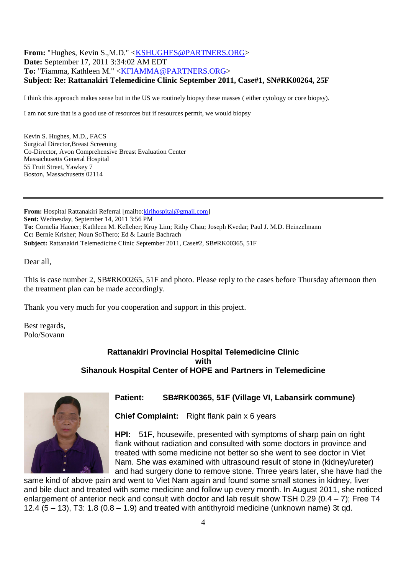## **From:** "Hughes, Kevin S.,M.D." <KSHUGHES@PARTNERS.ORG> **Date:** September 17, 2011 3:34:02 AM EDT **To:** "Fiamma, Kathleen M." <KFIAMMA@PARTNERS.ORG> **Subject: Re: Rattanakiri Telemedicine Clinic September 2011, Case#1, SN#RK00264, 25F**

I think this approach makes sense but in the US we routinely biopsy these masses ( either cytology or core biopsy).

I am not sure that is a good use of resources but if resources permit, we would biopsy

Kevin S. Hughes, M.D., FACS Surgical Director,Breast Screening Co-Director, Avon Comprehensive Breast Evaluation Center Massachusetts General Hospital 55 Fruit Street, Yawkey 7 Boston, Massachusetts 02114

**From:** Hospital Rattanakiri Referral [mailto: kirihospital@gmail.com] **Sent:** Wednesday, September 14, 2011 3:56 PM **To:** Cornelia Haener; Kathleen M. Kelleher; Kruy Lim; Rithy Chau; Joseph Kvedar; Paul J. M.D. Heinzelmann **Cc:** Bernie Krisher; Noun SoThero; Ed & Laurie Bachrach **Subject:** Rattanakiri Telemedicine Clinic September 2011, Case#2, SB#RK00365, 51F

Dear all,

This is case number 2, SB#RK00265, 51F and photo. Please reply to the cases before Thursday afternoon then the treatment plan can be made accordingly.

Thank you very much for you cooperation and support in this project.

Best regards, Polo/Sovann

## **Rattanakiri Provincial Hospital Telemedicine Clinic with Sihanouk Hospital Center of HOPE and Partners in Telemedicine**



## **Patient: SB#RK00365, 51F (Village VI, Labansirk commune)**

**Chief Complaint:** Right flank pain x 6 years

**HPI:** 51F, housewife, presented with symptoms of sharp pain on right flank without radiation and consulted with some doctors in province and treated with some medicine not better so she went to see doctor in Viet Nam. She was examined with ultrasound result of stone in (kidney/ureter) and had surgery done to remove stone. Three years later, she have had the

same kind of above pain and went to Viet Nam again and found some small stones in kidney, liver and bile duct and treated with some medicine and follow up every month. In August 2011, she noticed enlargement of anterior neck and consult with doctor and lab result show TSH 0.29 (0.4 – 7); Free T4 12.4  $(5 - 13)$ , T3: 1.8  $(0.8 - 1.9)$  and treated with antithyroid medicine (unknown name) 3t qd.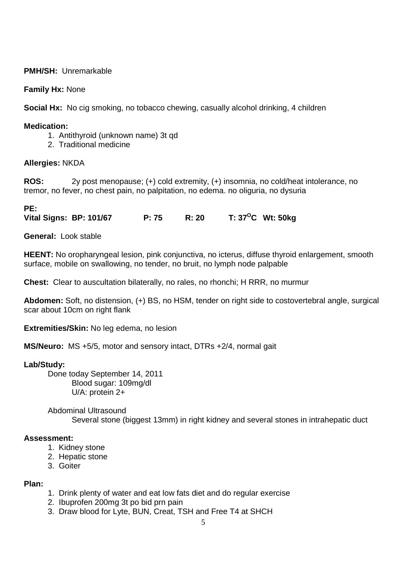## **PMH/SH:** Unremarkable

## **Family Hx:** None

**Social Hx:** No cig smoking, no tobacco chewing, casually alcohol drinking, 4 children

## **Medication:**

- 1. Antithyroid (unknown name) 3t qd
- 2. Traditional medicine

## **Allergies:** NKDA

**ROS:** 2y post menopause; (+) cold extremity, (+) insomnia, no cold/heat intolerance, no tremor, no fever, no chest pain, no palpitation, no edema. no oliguria, no dysuria

## **PE:**

**Vital Signs: BP: 101/67 P: 75 R: 20 T: 37<sup>O</sup>C Wt: 50kg** 

**General:** Look stable

**HEENT:** No oropharyngeal lesion, pink conjunctiva, no icterus, diffuse thyroid enlargement, smooth surface, mobile on swallowing, no tender, no bruit, no lymph node palpable

**Chest:** Clear to auscultation bilaterally, no rales, no rhonchi; H RRR, no murmur

**Abdomen:** Soft, no distension, (+) BS, no HSM, tender on right side to costovertebral angle, surgical scar about 10cm on right flank

**Extremities/Skin:** No leg edema, no lesion

**MS/Neuro:** MS +5/5, motor and sensory intact, DTRs +2/4, normal gait

## **Lab/Study:**

 Done today September 14, 2011 Blood sugar: 109mg/dl U/A: protein 2+

 Abdominal Ultrasound Several stone (biggest 13mm) in right kidney and several stones in intrahepatic duct

## **Assessment:**

- 1. Kidney stone
- 2. Hepatic stone
- 3. Goiter

## **Plan:**

- 1. Drink plenty of water and eat low fats diet and do regular exercise
- 2. Ibuprofen 200mg 3t po bid prn pain
- 3. Draw blood for Lyte, BUN, Creat, TSH and Free T4 at SHCH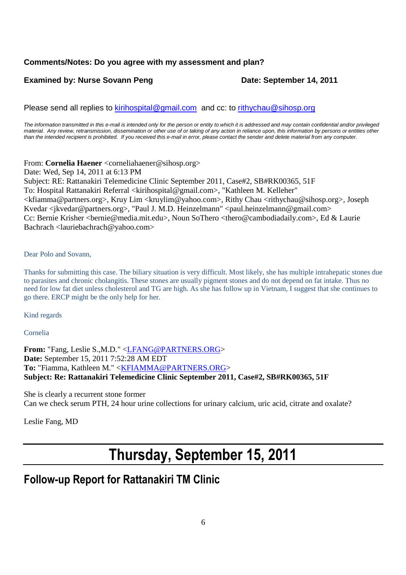## **Comments/Notes: Do you agree with my assessment and plan?**

## **Examined by: Nurse Sovann Peng Date: September 14, 2011**

Please send all replies to kirihospital@gmail.com and cc: to rithychau@sihosp.org

The information transmitted in this e-mail is intended only for the person or entity to which it is addressed and may contain confidential and/or privileged material. Any review, retransmission, dissemination or other use of or taking of any action in reliance upon, this information by persons or entities other than the intended recipient is prohibited. If you received this e-mail in error, please contact the sender and delete material from any computer.

From: **Cornelia Haener** <corneliahaener@sihosp.org>

Date: Wed, Sep 14, 2011 at 6:13 PM Subject: RE: Rattanakiri Telemedicine Clinic September 2011, Case#2, SB#RK00365, 51F To: Hospital Rattanakiri Referral <kirihospital@gmail.com>, "Kathleen M. Kelleher" <kfiamma@partners.org>, Kruy Lim <kruylim@yahoo.com>, Rithy Chau <rithychau@sihosp.org>, Joseph Kvedar <ikvedar@partners.org>, "Paul J. M.D. Heinzelmann" <paul.heinzelmann@gmail.com> Cc: Bernie Krisher <bernie@media.mit.edu>, Noun SoThero <thero@cambodiadaily.com>, Ed & Laurie Bachrach <lauriebachrach@yahoo.com>

## Dear Polo and Sovann,

Thanks for submitting this case. The biliary situation is very difficult. Most likely, she has multiple intrahepatic stones due to parasites and chronic cholangitis. These stones are usually pigment stones and do not depend on fat intake. Thus no need for low fat diet unless cholesterol and TG are high. As she has follow up in Vietnam, I suggest that she continues to go there. ERCP might be the only help for her.

Kind regards

Cornelia

**From:** "Fang, Leslie S.,M.D." <LFANG@PARTNERS.ORG> **Date:** September 15, 2011 7:52:28 AM EDT To: "Fiamma, Kathleen M." <**KFIAMMA@PARTNERS.ORG**> **Subject: Re: Rattanakiri Telemedicine Clinic September 2011, Case#2, SB#RK00365, 51F**

She is clearly a recurrent stone former Can we check serum PTH, 24 hour urine collections for urinary calcium, uric acid, citrate and oxalate?

Leslie Fang, MD

# **Thursday, September 15, 2011**

# **Follow-up Report for Rattanakiri TM Clinic**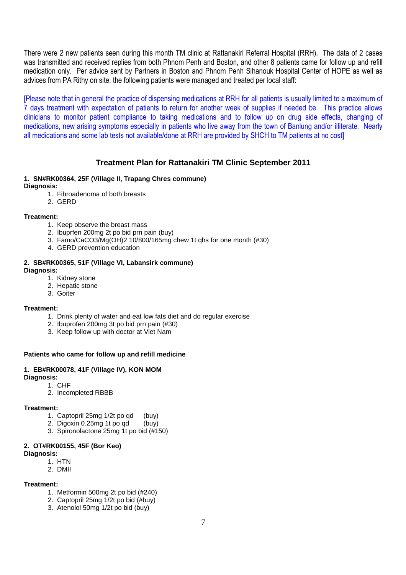There were 2 new patients seen during this month TM clinic at Rattanakiri Referral Hospital (RRH). The data of 2 cases was transmitted and received replies from both Phnom Penh and Boston, and other 8 patients came for follow up and refill medication only. Per advice sent by Partners in Boston and Phnom Penh Sihanouk Hospital Center of HOPE as well as advices from PA Rithy on site, the following patients were managed and treated per local staff:

[Please note that in general the practice of dispensing medications at RRH for all patients is usually limited to a maximum of 7 days treatment with expectation of patients to return for another week of supplies if needed be. This practice allows clinicians to monitor patient compliance to taking medications and to follow up on drug side effects, changing of medications, new arising symptoms especially in patients who live away from the town of Banlung and/or illiterate. Nearly all medications and some lab tests not available/done at RRH are provided by SHCH to TM patients at no cost]

## **Treatment Plan for Rattanakiri TM Clinic September 2011**

## **1. SN#RK00364, 25F (Village II, Trapang Chres commune)**

**Diagnosis:**

- 1. Fibroadenoma of both breasts
- 2. GERD

#### **Treatment:**

- 1. Keep observe the breast mass
- 2. Ibuprfen 200mg 2t po bid prn pain (buy)
- 3. Famo/CaCO3/Mg(OH)2 10/800/165mg chew 1t qhs for one month (#30)
- 4. GERD prevention education

#### **2. SB#RK00365, 51F (Village VI, Labansirk commune) Diagnosis:**

- 1. Kidney stone
- 2. Hepatic stone
- 3. Goiter

## **Treatment:**

- 1. Drink plenty of water and eat low fats diet and do regular exercise
- 2. Ibuprofen 200mg 3t po bid prn pain (#30)
- 3. Keep follow up with doctor at Viet Nam

## **Patients who came for follow up and refill medicine**

## **1. EB#RK00078, 41F (Village IV), KON MOM**

**Diagnosis:** 

- 1. CHF
- 2. Incompleted RBBB

#### **Treatment:**

- 1. Captopril 25mg 1/2t po qd (buy)
- 2. Digoxin 0.25mg 1t po gd (buy)
- 3. Spironolactone 25mg 1t po bid (#150)

## **2. OT#RK00155, 45F (Bor Keo)**

**Diagnosis:**

- 1. HTN
- 2. DMII

## **Treatment:**

- 1. Metformin 500mg 2t po bid (#240)
- 2. Captopril 25mg 1/2t po bid (#buy)
- 3. Atenolol 50mg 1/2t po bid (buy)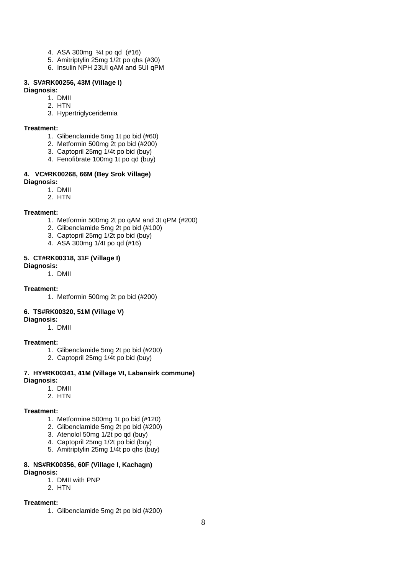- 4. ASA 300mg ¼t po qd (#16)
- 5. Amitriptylin 25mg 1/2t po qhs (#30)
- 6. Insulin NPH 23UI qAM and 5UI qPM

#### **3. SV#RK00256, 43M (Village I)**

#### **Diagnosis:**

- 1. DMII
- 2. HTN
- 3. Hypertriglyceridemia

#### **Treatment:**

- 1. Glibenclamide 5mg 1t po bid (#60)
- 2. Metformin 500mg 2t po bid (#200)
- 3. Captopril 25mg 1/4t po bid (buy)
- 4. Fenofibrate 100mg 1t po qd (buy)

#### **4. VC#RK00268, 66M (Bey Srok Village) Diagnosis:**

- 1. DMII
	- 2. HTN

#### **Treatment:**

- 1. Metformin 500mg 2t po qAM and 3t qPM (#200)
- 2. Glibenclamide 5mg 2t po bid (#100)
- 3. Captopril 25mg 1/2t po bid (buy)
- 4. ASA 300mg 1/4t po qd (#16)

#### **5. CT#RK00318, 31F (Village I)**

#### **Diagnosis:**

1. DMII

## **Treatment:**

1. Metformin 500mg 2t po bid (#200)

## **6. TS#RK00320, 51M (Village V)**

## **Diagnosis:**

1. DMII

## **Treatment:**

- 1. Glibenclamide 5mg 2t po bid (#200)
- 2. Captopril 25mg 1/4t po bid (buy)

#### **7. HY#RK00341, 41M (Village VI, Labansirk commune) Diagnosis:**

- 1. DMII
- 2. HTN

#### **Treatment:**

- 1. Metformine 500mg 1t po bid (#120)
- 2. Glibenclamide 5mg 2t po bid (#200)
- 3. Atenolol 50mg 1/2t po qd (buy)
- 4. Captopril 25mg 1/2t po bid (buy)
- 5. Amitriptylin 25mg 1/4t po qhs (buy)

#### **8. NS#RK00356, 60F (Village I, Kachagn) Diagnosis:**

- 1. DMII with PNP
- 2. HTN

## **Treatment:**

1. Glibenclamide 5mg 2t po bid (#200)